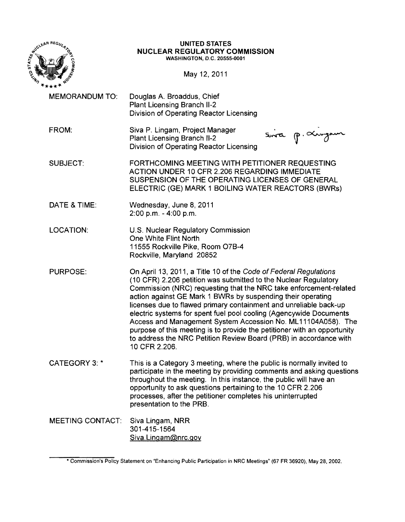

#### UNITED STATES NUCLEAR REGULATORY COMMISSION WASHINGTON, D.C. 20555-0001

May 12, 2011

- MEMORANDUM TO: Douglas A. Broaddus, Chief Plant Licensing Branch 11-2 Division of Operating Reactor Licensing
- FROM: Siva P. Lingam, Project Manager Plant Licensing Branch 11-2 Division of Operating Reactor Licensing

Sina p. Xingam

- SUBJECT: FORTHCOMING MEETING WITH PETITIONER REQUESTING ACTION UNDER 10 CFR 2.206 REGARDING IMMEDIATE SUSPENSION OF THE OPERATING LICENSES OF GENERAL ELECTRIC (GE) MARK 1 BOILING WATER REACTORS (BWRs)
- DATE & TIME: Wednesday, June 8,2011 2:00 p.m. - 4:00 p.m.
- LOCATION: U.S. Nuclear Regulatory Commission One White Flint North 11555 Rockville Pike, Room 07B-4 Rockville, Maryland 20852
- PURPOSE: On April 13, 2011, a Title 10 of the Code of Federal Regulations (10 CFR) 2.206 petition was submitted to the Nuclear Regulatory Commission (NRC) requesting that the NRC take enforcement-related action against GE Mark 1 BWRs by suspending their operating licenses due to flawed primary containment and unreliable back-up electric systems for spent fuel pool cooling (Agencywide Documents Access and Management System Accession No. ML 111 04A058). The purpose of this meeting is to provide the petitioner with an opportunity to address the NRC Petition Review Board (PRB) in accordance with 10 CFR 2.206.
- CATEGORY 3: \* This is a Category 3 meeting, where the public is normally invited to participate in the meeting by providing comments and asking questions throughout the meeting. In this instance, the public will have an opportunity to ask questions pertaining to the 10 CFR 2.206 processes, after the petitioner completes his uninterrupted presentation to the PRB.
- MEETING CONTACT: Siva Lingam, NRR 301-415-1564 Siva. Lingam@nrc.gov

<sup>\*</sup> Commission's Policy Statement on "Enhancing Public Participation in NRC Meetings" (67 FR 36920), May 28, 2002.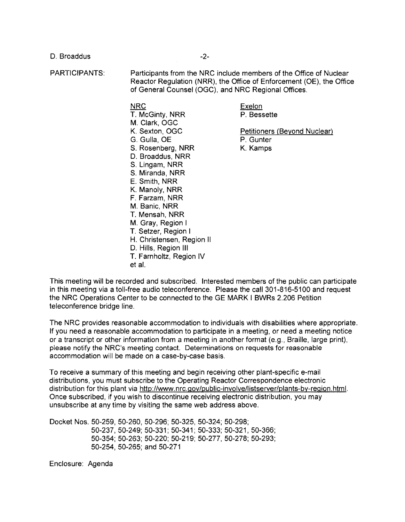D. Broaddus and the set of the set of the set of the set of the set of the set of the set of the set of the set of the set of the set of the set of the set of the set of the set of the set of the set of the set of the set

PARTICIPANTS: Participants from the NRC include members of the Office of Nuclear Reactor Regulation (NRR), the Office of Enforcement (OE), the Office of General Counsel (OGC), and NRC Regional Offices.

NRC **Exelon** 

K. Sexton, OGC **Petitioners (Beyond Nuclear)** 

T. McGinty, NRR P. Bessette M. Clark, OGC G. Gulla, OE B. Gunter S. Rosenberg, NRR K. Kamps D. Broaddus, NRR S. Lingam, NRR S. Miranda, NRR E. Smith, NRR K. Manoly, NRR F. Farzam, NRR M. Banic, NRR T. Mensah, NRR M. Gray, Region I T. Setzer, Region I H. Christensen, Region II D. Hills, Region III T. Farnholtz, Region IV et at.

This meeting will be recorded and subscribed. Interested members of the public can participate in this meeting via a toll-free audio teleconference. Please the call 301-816-5100 and request the NRC Operations Center to be connected to the GE MARK I BWRs 2.206 Petition teleconference bridge line.

The NRC provides reasonable accommodation to individuals with disabilities where appropriate. If you need a reasonable accommodation to participate in a meeting, or need a meeting notice or a transcript or other information from a meeting in another format (e.g., Braille, large print), please notify the NRC's meeting contact. Determinations on requests for reasonable accommodation will be made on a case-by-case basis.

To receive a summary of this meeting and begin receiving other plant-specific e-mail distributions, you must subscribe to the Operating Reactor Correspondence electronic distribution for this plant via http://www.nrc.gov/public-involve/listserver/plants-by-region.html. Once subscribed, if you wish to discontinue receiving electronic distribution, you may unsubscribe at any time by visiting the same web address above.

Docket Nos. 50-259, 50-260, 50-296; 50-325, 50-324; 50-298; 50-237, 50-249; 50-331; 50-341; 50-333; 50-321, 50-366; 50-354; 50-263; 50-220; 50-219; 50-277, 50-278; 50-293; 50-254,50-265; and 50-271

Enclosure: Agenda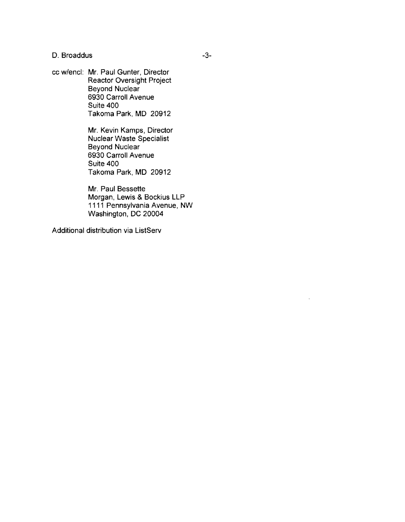D. Broaddus and the state of the state of the state of the state of the state of the state of the state of the state of the state of the state of the state of the state of the state of the state of the state of the state o

cc w/encl: Mr. Paul Gunter, Director Reactor Oversight Project Beyond Nuclear 6930 Carroll Avenue Suite 400 Takoma Park, MD 20912

> Mr. Kevin Kamps, Director Nuclear Waste Specialist Beyond Nuclear 6930 Carroll Avenue Suite 400 Takoma Park, MD 20912

Mr. Paul Bessette Morgan, Lewis & Bockius LLP 1111 Pennsylvania Avenue, NW Washington, DC 20004

Additional distribution via ListServ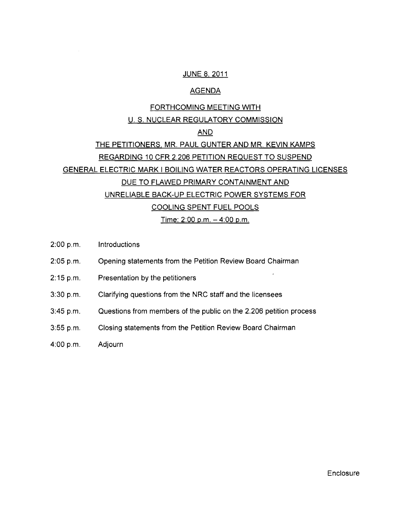## JUNE 8, 2011

## AGENDA

# FORTHCOMING MEETING WITH U. S. NUCLEAR REGULATORY COMMISSION

# AND

# THE PETITIONERS, MR. PAUL GUNTER AND MR. KEVIN KAMPS REGARDING 10 CFR 2.206 PETITION REQUEST TO SUSPEND GENERAL ELECTRIC MARK I BOILING WATER REACTORS OPERATING LICENSES DUE TO FLAWED PRIMARY CONTAINMENT AND UNRELIABLE BACK-UP ELECTRIC POWER SYSTEMS FOR COOLING SPENT FUEL POOLS <u>Time: 2:00 p.m. – 4:00 p.m.</u>

- 2:00 p.m. Introductions
- 2:05 p.m. Opening statements from the Petition Review Board Chairman
- 2:15 p.m. Presentation by the petitioners
- 3:30 p.m. Clarifying questions from the NRC staff and the licensees
- 3:45 p.m. Questions from members of the public on the 2.206 petition process
- 3:55 p.m. Closing statements from the Petition Review Board Chairman
- 4:00 p.m. Adjourn